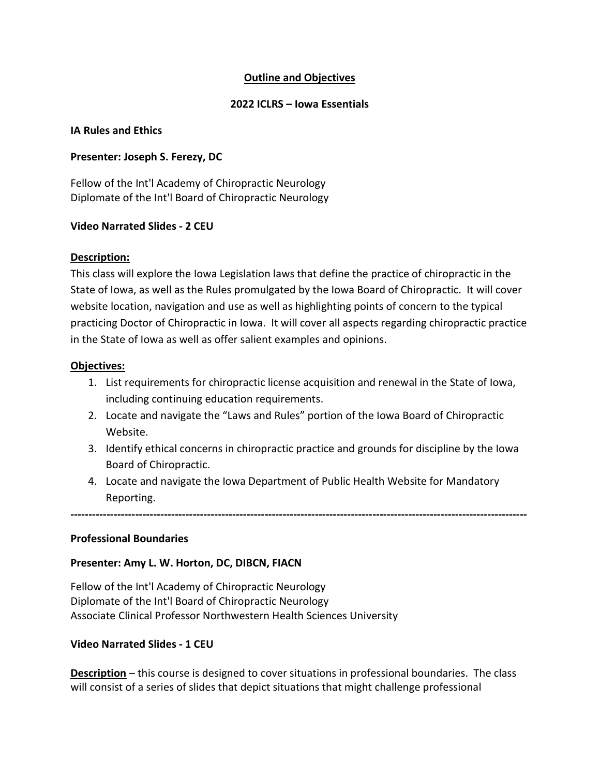## Outline and Objectives

### 2022 ICLRS – Iowa Essentials

#### IA Rules and Ethics

#### Presenter: Joseph S. Ferezy, DC

Fellow of the Int'l Academy of Chiropractic Neurology Diplomate of the Int'l Board of Chiropractic Neurology

#### Video Narrated Slides - 2 CEU

#### Description:

This class will explore the Iowa Legislation laws that define the practice of chiropractic in the State of Iowa, as well as the Rules promulgated by the Iowa Board of Chiropractic. It will cover website location, navigation and use as well as highlighting points of concern to the typical practicing Doctor of Chiropractic in Iowa. It will cover all aspects regarding chiropractic practice in the State of Iowa as well as offer salient examples and opinions.

#### Objectives:

- 1. List requirements for chiropractic license acquisition and renewal in the State of Iowa, including continuing education requirements.
- 2. Locate and navigate the "Laws and Rules" portion of the Iowa Board of Chiropractic Website.
- 3. Identify ethical concerns in chiropractic practice and grounds for discipline by the Iowa Board of Chiropractic.
- 4. Locate and navigate the Iowa Department of Public Health Website for Mandatory Reporting.

-------------------------------------------------------------------------------------------------------------------------------

#### Professional Boundaries

### Presenter: Amy L. W. Horton, DC, DIBCN, FIACN

Fellow of the Int'l Academy of Chiropractic Neurology Diplomate of the Int'l Board of Chiropractic Neurology Associate Clinical Professor Northwestern Health Sciences University

### Video Narrated Slides - 1 CEU

Description – this course is designed to cover situations in professional boundaries. The class will consist of a series of slides that depict situations that might challenge professional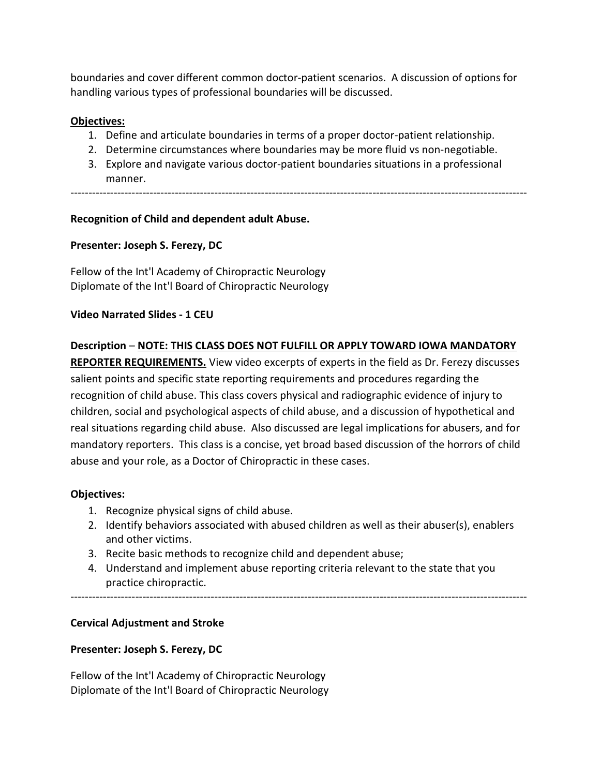boundaries and cover different common doctor-patient scenarios. A discussion of options for handling various types of professional boundaries will be discussed.

# Objectives:

- 1. Define and articulate boundaries in terms of a proper doctor-patient relationship.
- 2. Determine circumstances where boundaries may be more fluid vs non-negotiable.
- 3. Explore and navigate various doctor-patient boundaries situations in a professional manner.

-------------------------------------------------------------------------------------------------------------------------------

# Recognition of Child and dependent adult Abuse.

# Presenter: Joseph S. Ferezy, DC

Fellow of the Int'l Academy of Chiropractic Neurology Diplomate of the Int'l Board of Chiropractic Neurology

### Video Narrated Slides - 1 CEU

### Description – NOTE: THIS CLASS DOES NOT FULFILL OR APPLY TOWARD IOWA MANDATORY

REPORTER REQUIREMENTS. View video excerpts of experts in the field as Dr. Ferezy discusses salient points and specific state reporting requirements and procedures regarding the recognition of child abuse. This class covers physical and radiographic evidence of injury to children, social and psychological aspects of child abuse, and a discussion of hypothetical and real situations regarding child abuse. Also discussed are legal implications for abusers, and for mandatory reporters. This class is a concise, yet broad based discussion of the horrors of child abuse and your role, as a Doctor of Chiropractic in these cases.

### Objectives:

- 1. Recognize physical signs of child abuse.
- 2. Identify behaviors associated with abused children as well as their abuser(s), enablers and other victims.
- 3. Recite basic methods to recognize child and dependent abuse;
- 4. Understand and implement abuse reporting criteria relevant to the state that you practice chiropractic.

# -------------------------------------------------------------------------------------------------------------------------------

# Cervical Adjustment and Stroke

### Presenter: Joseph S. Ferezy, DC

Fellow of the Int'l Academy of Chiropractic Neurology Diplomate of the Int'l Board of Chiropractic Neurology